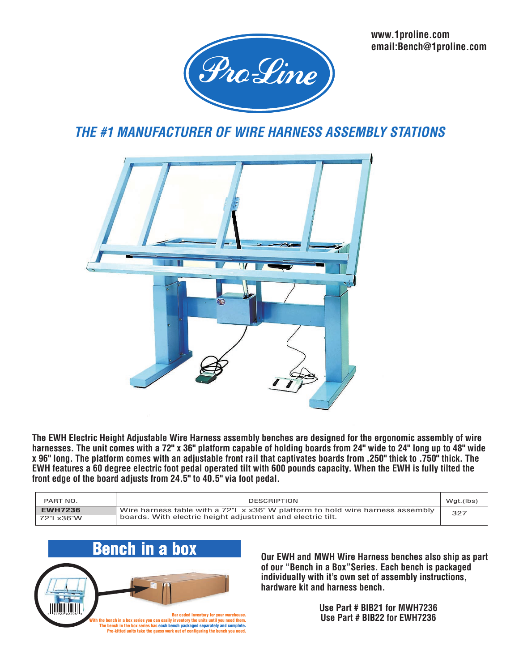**www.1proline.com email:Bench@1proline.com**



## *THE #1 MANUFACTURER OF WIRE HARNESS ASSEMBLY STATIONS*



**The EWH Electric Height Adjustable Wire Harness assembly benches are designed for the ergonomic assembly of wire harnesses. The unit comes with a 72" x 36" platform capable of holding boards from 24" wide to 24" long up to 48" wide x 96" long. The platform comes with an adjustable front rail that captivates boards from .250" thick to .750" thick. The EWH features a 60 degree electric foot pedal operated tilt with 600 pounds capacity. When the EWH is fully tilted the front edge of the board adjusts from 24.5" to 40.5" via foot pedal.**

| PART NO.       | <b>DESCRIPTION</b>                                                                       | Wgt.(lbs) |
|----------------|------------------------------------------------------------------------------------------|-----------|
| <b>EWH7236</b> | Wire harness table with a $72^{\circ}$ L x x36" W platform to hold wire harness assembly | 327       |
| 72"Lx36"W      | boards. With electric height adjustment and electric tilt.                               |           |



**Our EWH and MWH Wire Harness benches also ship as part of our "Bench in a Box"Series. Each bench is packaged individually with it's own set of assembly instructions, hardware kit and harness bench.**

> **Use Part # BIB21 for MWH7236 Use Part # BIB22 for EWH7236**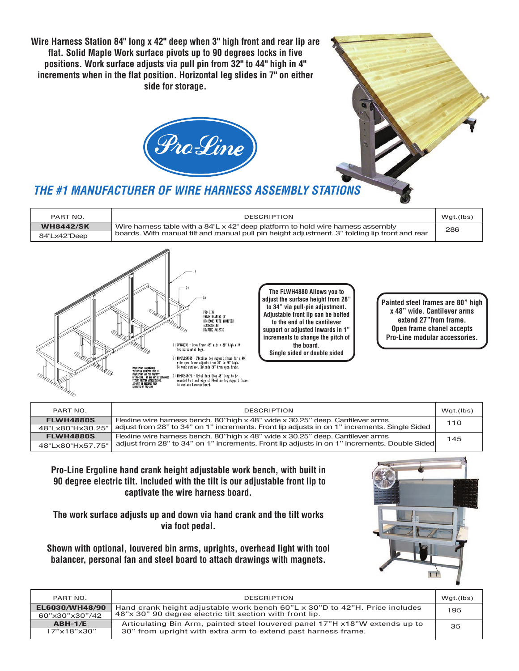**Wire Harness Station 84" long x 42" deep when 3" high front and rear lip are flat. Solid Maple Work surface pivots up to 90 degrees locks in five positions. Work surface adjusts via pull pin from 32" to 44" high in 4" increments when in the flat position. Horizontal leg slides in 7" on either side for storage.**





### *THE #1 MANUFACTURER OF WIRE HARNESS ASSEMBLY STATIONS*

| PART NO.         | <b>DESCRIPTION</b>                                                                                                                                                                          | Wgt.(lbs) |
|------------------|---------------------------------------------------------------------------------------------------------------------------------------------------------------------------------------------|-----------|
| <b>WH8442/SK</b> | Wire harness table with a $84^{\circ}$ L x 42" deep platform to hold wire harness assembly<br>boards. With manual tilt and manual pull pin height adjustment. 3" folding lip front and rear | 286       |
| 84"Lx42"Deep     |                                                                                                                                                                                             |           |



**The FLWH4880 Allows you to adjust the surface height from 28" to 34" via pull-pin adjustment. Adjustable front lip can be bolted to the end of the cantilever support or adjusted inwards in 1" increments to change the pitch of the board. Single sided or double sided**

**Painted steel frames are 80" high x 48" wide. Cantilever arms extend 27"from frame. Open frame chanel accepts Pro-Line modular accessories.**

| PART NO.                             | <b>DESCRIPTION</b>                                                                                                                                                                           | Wgt.(lbs) |
|--------------------------------------|----------------------------------------------------------------------------------------------------------------------------------------------------------------------------------------------|-----------|
| <b>FLWH4880S</b><br>48"Lx80"Hx30.25" | Flexline wire harness bench. 80"high $\times$ 48" wide $\times$ 30.25" deep. Cantilever arms<br>adjust from 28" to 34" on 1" increments. Front lip adjusts in on 1" increments. Single Sided | 110       |
| <b>FLWH4880S</b>                     | Flexline wire harness bench. 80"high $\times$ 48" wide $\times$ 30.25" deep. Cantilever arms                                                                                                 | 145       |
| 48"Lx80"Hx57.75"                     | adjust from 28" to 34" on 1" increments. Front lip adjusts in on 1" increments. Double Sided                                                                                                 |           |

**Pro-Line Ergoline hand crank height adjustable work bench, with built in 90 degree electric tilt. Included with the tilt is our adjustable front lip to captivate the wire harness board.**

**The work surface adjusts up and down via hand crank and the tilt works via foot pedal.** 

**Shown with optional, louvered bin arms, uprights, overhead light with tool balancer, personal fan and steel board to attach drawings with magnets.** 



| PART NO.                             | <b>DESCRIPTION</b>                                                                                                                           | Wgt.(lbs) |
|--------------------------------------|----------------------------------------------------------------------------------------------------------------------------------------------|-----------|
| EL6030/WH48/90<br>60"x30"x30"/42     | Hand crank height adjustable work bench 60"L x 30"D to 42"H. Price includes<br>48"x 30" 90 degree electric tilt section with front lip.      | 195       |
| $ABH-1/E$<br>$17"$ x18" $\times$ 30" | Articulating Bin Arm, painted steel louvered panel 17"H x18"W extends up to<br>30" from upright with extra arm to extend past harness frame. | 35        |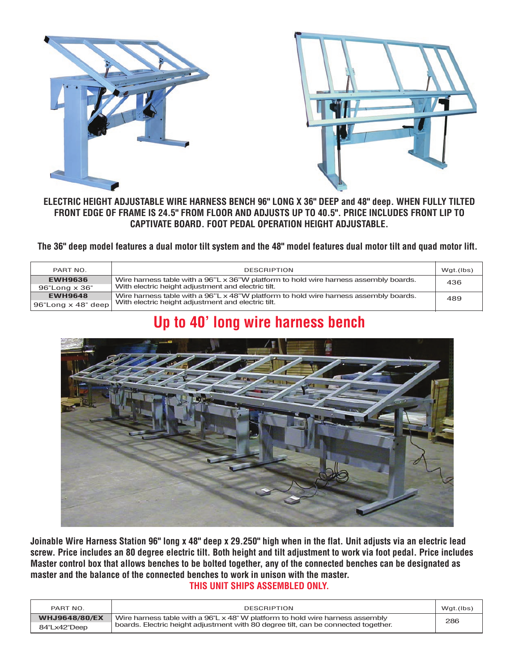



#### **ELECTRIC HEIGHT ADJUSTABLE WIRE HARNESS BENCH 96" LONG X 36" DEEP and 48" deep. WHEN FULLY TILTED FRONT EDGE OF FRAME IS 24.5" FROM FLOOR AND ADJUSTS UP TO 40.5". PRICE INCLUDES FRONT LIP TO CAPTIVATE BOARD. FOOT PEDAL OPERATION HEIGHT ADJUSTABLE.**

#### **The 36" deep model features a dual motor tilt system and the 48" model features dual motor tilt and quad motor lift.**

| PART NO.                     | <b>DESCRIPTION</b>                                                                   | Wgt.(lbs) |
|------------------------------|--------------------------------------------------------------------------------------|-----------|
| <b>EWH9636</b>               | Wire harness table with a 96"L x 36"W platform to hold wire harness assembly boards. | 436       |
| $96"$ Long $\times 36"$      | With electric height adjustment and electric tilt.                                   |           |
| <b>EWH9648</b>               | Wire harness table with a 96"L x 48"W platform to hold wire harness assembly boards. | 489       |
| $96"$ Long $\times$ 48" deep | With electric height adjustment and electric tilt.                                   |           |

# **Up to 40' long wire harness bench**



**Joinable Wire Harness Station 96" long x 48" deep x 29.250" high when in the flat. Unit adjusts via an electric lead screw. Price includes an 80 degree electric tilt. Both height and tilt adjustment to work via foot pedal. Price includes Master control box that allows benches to be bolted together, any of the connected benches can be designated as master and the balance of the connected benches to work in unison with the master.** 

#### **THIS UNIT SHIPS ASSEMBLED ONLY.**

| PART NO.             | <b>DESCRIPTION</b>                                                                      | Wgt.(lbs) |
|----------------------|-----------------------------------------------------------------------------------------|-----------|
| <b>WHJ9648/80/EX</b> | Wire harness table with a $96^{\circ}$ L x 48" W platform to hold wire harness assembly | 286       |
| 84"Lx42"Deep         | boards. Electric height adjustment with 80 degree tilt, can be connected together.      |           |